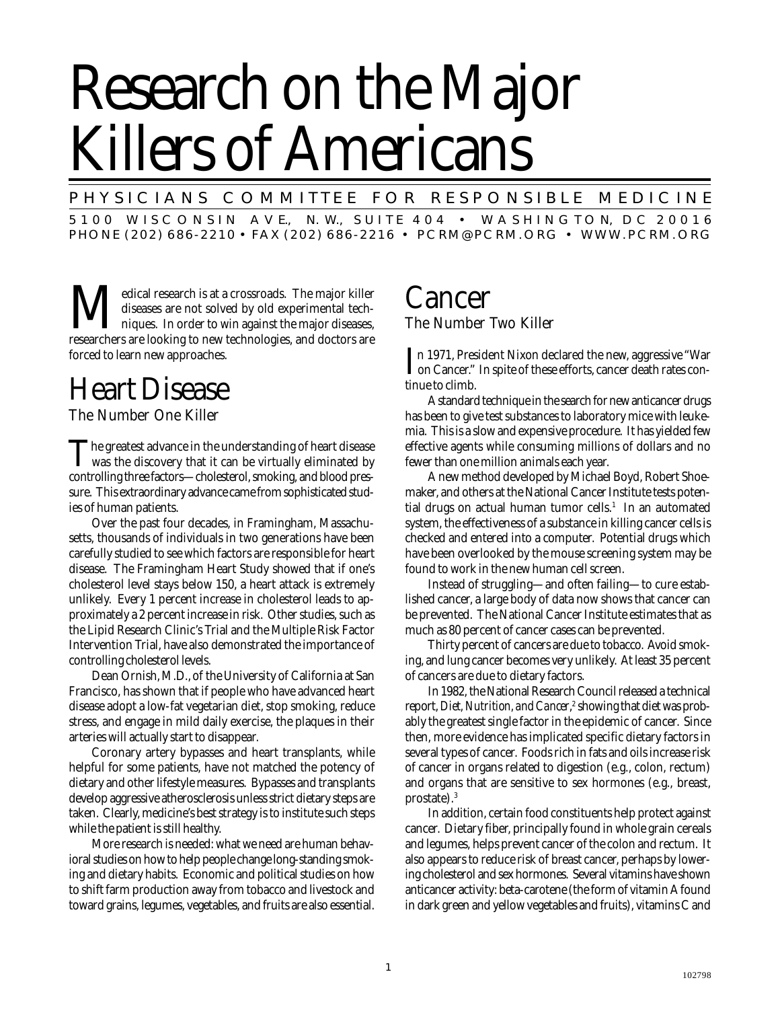# Research on the Major Killers of Americans

P H Y SICIANS COMMITTEE FOR RESPONSIBLE MEDICINE

5 1 0 0 W I S C O N S I N A V E., N. W., S U I T E 4 0 4 • W A S H I N G T O N, D C 2 0 0 1 6 PHONE (202) 686-2210 • FAX (202) 686-2216 • PCRM@PCRM.ORG • WWW.PCRM.ORG

**M**edical research is at a crossroads. The major killer diseases are not solved by old experimental techniques. In order to win against the major diseases, researchers are looking to new technologies, and doctors are diseases are not solved by old experimental techniques. In order to win against the major diseases, researchers are looking to new technologies, and doctors are forced to learn new approaches.

# Heart Disease

The Number One Killer

The greatest advance in the understanding of heart disease<br>was the discovery that it can be virtually eliminated by<br>we will have controlling three factors—cholesterol, smoking, and blood pressure. This extraordinary advance came from sophisticated studies of human patients.

Over the past four decades, in Framingham, Massachusetts, thousands of individuals in two generations have been carefully studied to see which factors are responsible for heart disease. The Framingham Heart Study showed that if one's cholesterol level stays below 150, a heart attack is extremely unlikely. Every 1 percent increase in cholesterol leads to approximately a 2 percent increase in risk. Other studies, such as the Lipid Research Clinic's Trial and the Multiple Risk Factor Intervention Trial, have also demonstrated the importance of controlling cholesterol levels.

Dean Ornish, M.D., of the University of California at San Francisco, has shown that if people who have advanced heart disease adopt a low-fat vegetarian diet, stop smoking, reduce stress, and engage in mild daily exercise, the plaques in their arteries will actually start to disappear.

Coronary artery bypasses and heart transplants, while helpful for some patients, have not matched the potency of dietary and other lifestyle measures. Bypasses and transplants develop aggressive atherosclerosis unless strict dietary steps are taken. Clearly, medicine's best strategy is to institute such steps while the patient is still healthy.

More research is needed: what we need are human behavioral studies on how to help people change long-standing smoking and dietary habits. Economic and political studies on how to shift farm production away from tobacco and livestock and toward grains, legumes, vegetables, and fruits are also essential.

## Cancer The Number Two Killer

In 1971, President Nixon declared the new, aggressive "War<br>on Cancer." In spite of these efforts, cancer death rates conon Cancer." In spite of these efforts, cancer death rates continue to climb.

A standard technique in the search for new anticancer drugs has been to give test substances to laboratory mice with leukemia. This is a slow and expensive procedure. It has yielded few effective agents while consuming millions of dollars and no fewer than one million animals each year.

A new method developed by Michael Boyd, Robert Shoemaker, and others at the National Cancer Institute tests potential drugs on actual human tumor cells.<sup>1</sup> In an automated system, the effectiveness of a substance in killing cancer cells is checked and entered into a computer. Potential drugs which have been overlooked by the mouse screening system may be found to work in the new human cell screen.

Instead of struggling—and often failing—to cure established cancer, a large body of data now shows that cancer can be prevented. The National Cancer Institute estimates that as much as 80 percent of cancer cases can be prevented.

Thirty percent of cancers are due to tobacco. Avoid smoking, and lung cancer becomes very unlikely. At least 35 percent of cancers are due to dietary factors.

In 1982, the National Research Council released a technical report, *Diet, Nutrition, and Cancer,<sup>2</sup> showing that diet was prob*ably the greatest single factor in the epidemic of cancer. Since then, more evidence has implicated specific dietary factors in several types of cancer. Foods rich in fats and oils increase risk of cancer in organs related to digestion (e.g., colon, rectum) and organs that are sensitive to sex hormones (e.g., breast, prostate).3

In addition, certain food constituents help protect against cancer. Dietary fiber, principally found in whole grain cereals and legumes, helps prevent cancer of the colon and rectum. It also appears to reduce risk of breast cancer, perhaps by lowering cholesterol and sex hormones. Several vitamins have shown anticancer activity: beta-carotene (the form of vitamin A found in dark green and yellow vegetables and fruits), vitamins C and